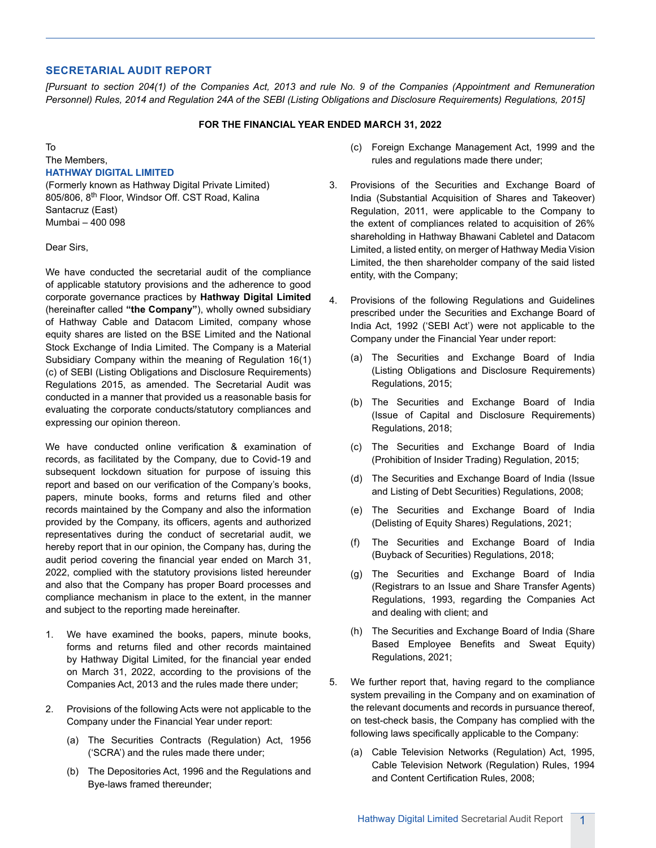## **SECRETARIAL AUDIT REPORT**

*[Pursuant to section 204(1) of the Companies Act, 2013 and rule No. 9 of the Companies (Appointment and Remuneration Personnel) Rules, 2014 and Regulation 24A of the SEBI (Listing Obligations and Disclosure Requirements) Regulations, 2015]*

## **FOR THE FINANCIAL YEAR ENDED MARCH 31, 2022**

To The Members,

## **HATHWAY DIGITAL LIMITED**

(Formerly known as Hathway Digital Private Limited) 805/806, 8<sup>th</sup> Floor, Windsor Off. CST Road, Kalina Santacruz (East) Mumbai – 400 098

Dear Sirs,

We have conducted the secretarial audit of the compliance of applicable statutory provisions and the adherence to good corporate governance practices by **Hathway Digital Limited** (hereinafter called **"the Company"**), wholly owned subsidiary of Hathway Cable and Datacom Limited, company whose equity shares are listed on the BSE Limited and the National Stock Exchange of India Limited. The Company is a Material Subsidiary Company within the meaning of Regulation 16(1) (c) of SEBI (Listing Obligations and Disclosure Requirements) Regulations 2015, as amended. The Secretarial Audit was conducted in a manner that provided us a reasonable basis for evaluating the corporate conducts/statutory compliances and expressing our opinion thereon.

We have conducted online verification & examination of records, as facilitated by the Company, due to Covid-19 and subsequent lockdown situation for purpose of issuing this report and based on our verification of the Company's books, papers, minute books, forms and returns filed and other records maintained by the Company and also the information provided by the Company, its officers, agents and authorized representatives during the conduct of secretarial audit, we hereby report that in our opinion, the Company has, during the audit period covering the financial year ended on March 31, 2022, complied with the statutory provisions listed hereunder and also that the Company has proper Board processes and compliance mechanism in place to the extent, in the manner and subject to the reporting made hereinafter.

- 1. We have examined the books, papers, minute books, forms and returns filed and other records maintained by Hathway Digital Limited, for the financial year ended on March 31, 2022, according to the provisions of the Companies Act, 2013 and the rules made there under;
- 2. Provisions of the following Acts were not applicable to the Company under the Financial Year under report:
	- (a) The Securities Contracts (Regulation) Act, 1956 ('SCRA') and the rules made there under;
	- (b) The Depositories Act, 1996 and the Regulations and Bye-laws framed thereunder;
- (c) Foreign Exchange Management Act, 1999 and the rules and regulations made there under;
- 3. Provisions of the Securities and Exchange Board of India (Substantial Acquisition of Shares and Takeover) Regulation, 2011, were applicable to the Company to the extent of compliances related to acquisition of 26% shareholding in Hathway Bhawani Cabletel and Datacom Limited, a listed entity, on merger of Hathway Media Vision Limited, the then shareholder company of the said listed entity, with the Company;
- 4. Provisions of the following Regulations and Guidelines prescribed under the Securities and Exchange Board of India Act, 1992 ('SEBI Act') were not applicable to the Company under the Financial Year under report:
	- (a) The Securities and Exchange Board of India (Listing Obligations and Disclosure Requirements) Regulations, 2015;
	- (b) The Securities and Exchange Board of India (Issue of Capital and Disclosure Requirements) Regulations, 2018;
	- (c) The Securities and Exchange Board of India (Prohibition of Insider Trading) Regulation, 2015;
	- (d) The Securities and Exchange Board of India (Issue and Listing of Debt Securities) Regulations, 2008;
	- (e) The Securities and Exchange Board of India (Delisting of Equity Shares) Regulations, 2021;
	- (f) The Securities and Exchange Board of India (Buyback of Securities) Regulations, 2018;
	- (g) The Securities and Exchange Board of India (Registrars to an Issue and Share Transfer Agents) Regulations, 1993, regarding the Companies Act and dealing with client; and
	- (h) The Securities and Exchange Board of India (Share Based Employee Benefits and Sweat Equity) Regulations, 2021;
- 5. We further report that, having regard to the compliance system prevailing in the Company and on examination of the relevant documents and records in pursuance thereof, on test-check basis, the Company has complied with the following laws specifically applicable to the Company:
	- (a) Cable Television Networks (Regulation) Act, 1995, Cable Television Network (Regulation) Rules, 1994 and Content Certification Rules, 2008;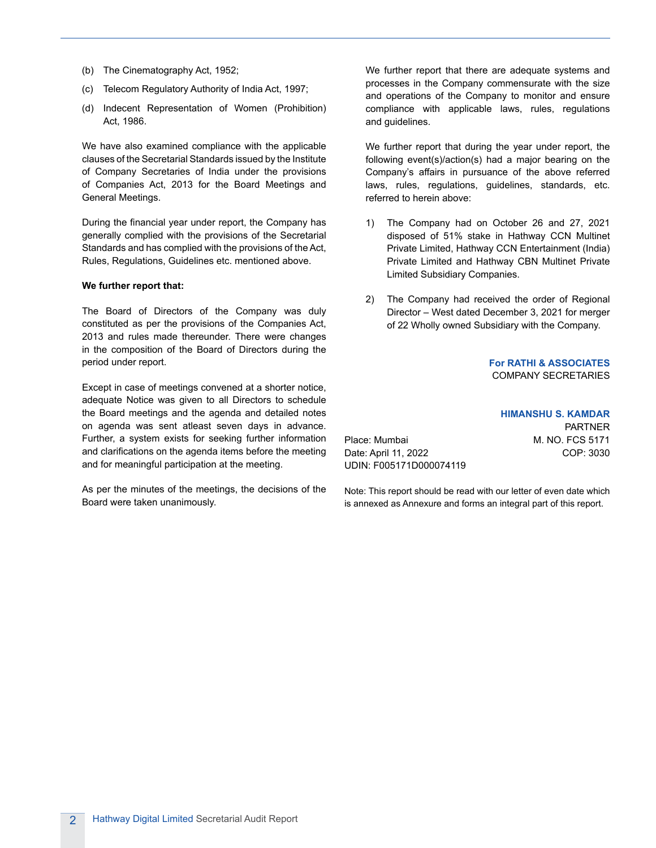- (b) The Cinematography Act, 1952;
- (c) Telecom Regulatory Authority of India Act, 1997;
- (d) Indecent Representation of Women (Prohibition) Act, 1986.

We have also examined compliance with the applicable clauses of the Secretarial Standards issued by the Institute of Company Secretaries of India under the provisions of Companies Act, 2013 for the Board Meetings and General Meetings.

During the financial year under report, the Company has generally complied with the provisions of the Secretarial Standards and has complied with the provisions of the Act, Rules, Regulations, Guidelines etc. mentioned above.

#### **We further report that:**

The Board of Directors of the Company was duly constituted as per the provisions of the Companies Act, 2013 and rules made thereunder. There were changes in the composition of the Board of Directors during the period under report.

Except in case of meetings convened at a shorter notice, adequate Notice was given to all Directors to schedule the Board meetings and the agenda and detailed notes on agenda was sent atleast seven days in advance. Further, a system exists for seeking further information and clarifications on the agenda items before the meeting and for meaningful participation at the meeting.

As per the minutes of the meetings, the decisions of the Board were taken unanimously.

We further report that there are adequate systems and processes in the Company commensurate with the size and operations of the Company to monitor and ensure compliance with applicable laws, rules, regulations and guidelines.

We further report that during the year under report, the following event(s)/action(s) had a major bearing on the Company's affairs in pursuance of the above referred laws, rules, regulations, guidelines, standards, etc. referred to herein above:

- 1) The Company had on October 26 and 27, 2021 disposed of 51% stake in Hathway CCN Multinet Private Limited, Hathway CCN Entertainment (India) Private Limited and Hathway CBN Multinet Private Limited Subsidiary Companies.
- 2) The Company had received the order of Regional Director – West dated December 3, 2021 for merger of 22 Wholly owned Subsidiary with the Company.

**For RATHI & ASSOCIATES** COMPANY SECRETARIES

**HIMANSHU S. KAMDAR** PARTNER Place: Mumbai M. NO. FCS 5171 Date: April 11, 2022 COP: 3030 UDIN: F005171D000074119

Note: This report should be read with our letter of even date which is annexed as Annexure and forms an integral part of this report.